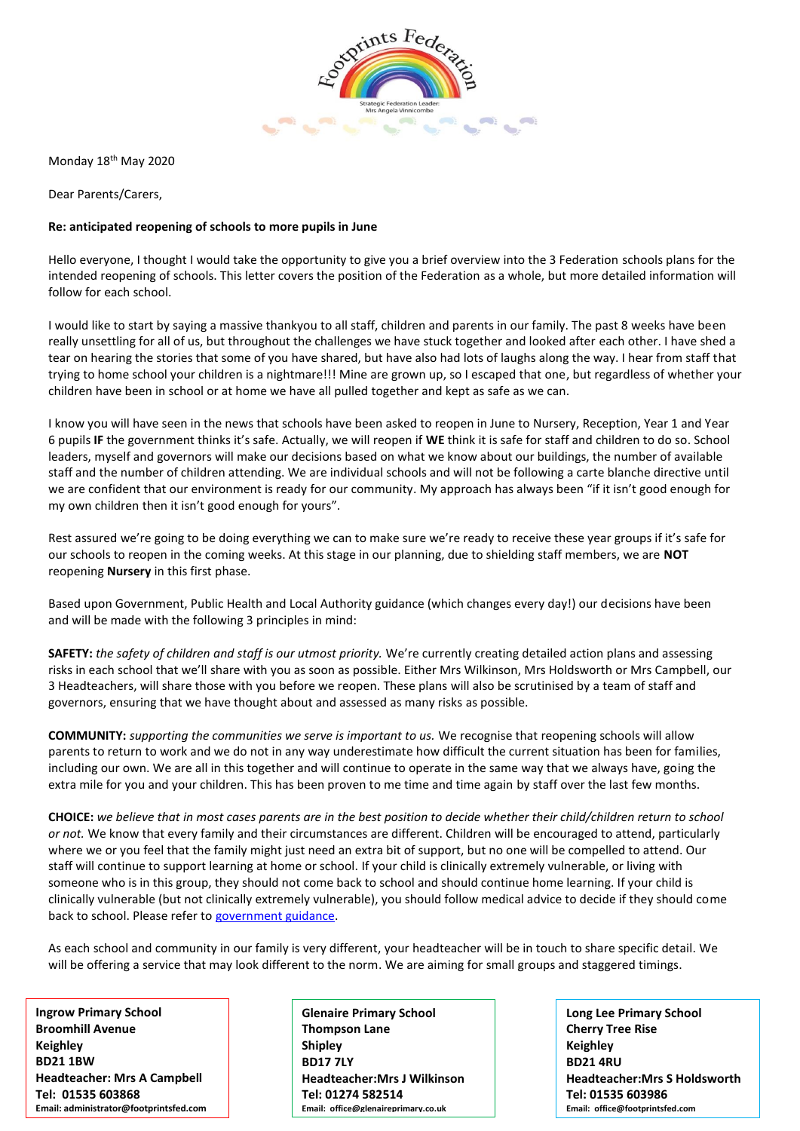

Monday 18th May 2020

Dear Parents/Carers,

## **Re: anticipated reopening of schools to more pupils in June**

Hello everyone, I thought I would take the opportunity to give you a brief overview into the 3 Federation schools plans for the intended reopening of schools. This letter covers the position of the Federation as a whole, but more detailed information will follow for each school.

I would like to start by saying a massive thankyou to all staff, children and parents in our family. The past 8 weeks have been really unsettling for all of us, but throughout the challenges we have stuck together and looked after each other. I have shed a tear on hearing the stories that some of you have shared, but have also had lots of laughs along the way. I hear from staff that trying to home school your children is a nightmare!!! Mine are grown up, so I escaped that one, but regardless of whether your children have been in school or at home we have all pulled together and kept as safe as we can.

I know you will have seen in the news that schools have been asked to reopen in June to Nursery, Reception, Year 1 and Year 6 pupils **IF** the government thinks it's safe. Actually, we will reopen if **WE** think it is safe for staff and children to do so. School leaders, myself and governors will make our decisions based on what we know about our buildings, the number of available staff and the number of children attending. We are individual schools and will not be following a carte blanche directive until we are confident that our environment is ready for our community. My approach has always been "if it isn't good enough for my own children then it isn't good enough for yours".

Rest assured we're going to be doing everything we can to make sure we're ready to receive these year groups if it's safe for our schools to reopen in the coming weeks. At this stage in our planning, due to shielding staff members, we are **NOT**  reopening **Nursery** in this first phase.

Based upon Government, Public Health and Local Authority guidance (which changes every day!) our decisions have been and will be made with the following 3 principles in mind:

**SAFETY:** *the safety of children and staff is our utmost priority.* We're currently creating detailed action plans and assessing risks in each school that we'll share with you as soon as possible. Either Mrs Wilkinson, Mrs Holdsworth or Mrs Campbell, our 3 Headteachers, will share those with you before we reopen. These plans will also be scrutinised by a team of staff and governors, ensuring that we have thought about and assessed as many risks as possible.

**COMMUNITY:** *supporting the communities we serve is important to us.* We recognise that reopening schools will allow parents to return to work and we do not in any way underestimate how difficult the current situation has been for families, including our own. We are all in this together and will continue to operate in the same way that we always have, going the extra mile for you and your children. This has been proven to me time and time again by staff over the last few months.

**CHOICE:** *we believe that in most cases parents are in the best position to decide whether their child/children return to school or not.* We know that every family and their circumstances are different. Children will be encouraged to attend, particularly where we or you feel that the family might just need an extra bit of support, but no one will be compelled to attend. Our staff will continue to support learning at home or school. If your child is clinically extremely vulnerable, or living with someone who is in this group, they should not come back to school and should continue home learning. If your child is clinically vulnerable (but not clinically extremely vulnerable), you should follow medical advice to decide if they should come back to school. Please refer to [government guidance.](https://www.gov.uk/government/publications/coronavirus-covid-19-implementing-protective-measures-in-education-and-childcare-settings/coronavirus-covid-19-implementing-protective-measures-in-education-and-childcare-settings#shielded-and-clinically-vulnerable-children-and-young-people) 

As each school and community in our family is very different, your headteacher will be in touch to share specific detail. We will be offering a service that may look different to the norm. We are aiming for small groups and staggered timings.

Headteacher: Mrs A Campbell<br>Tal: **21535 603969 Ingrow Primary School Broomhill Avenue Keighley BD21 1BW Tel: 01535 603868 Email: administrator@footprintsfed.com** **Glenaire Primary School Thompson Lane Shipley BD17 7LY Headteacher:Mrs J Wilkinson Tel: 01274 582514 Email: office@glenaireprimary.co.uk**

**Long Lee Primary School Cherry Tree Rise Keighley BD21 4RU Headteacher:Mrs S Holdsworth Tel: 01535 603986 Email: office@footprintsfed.com**